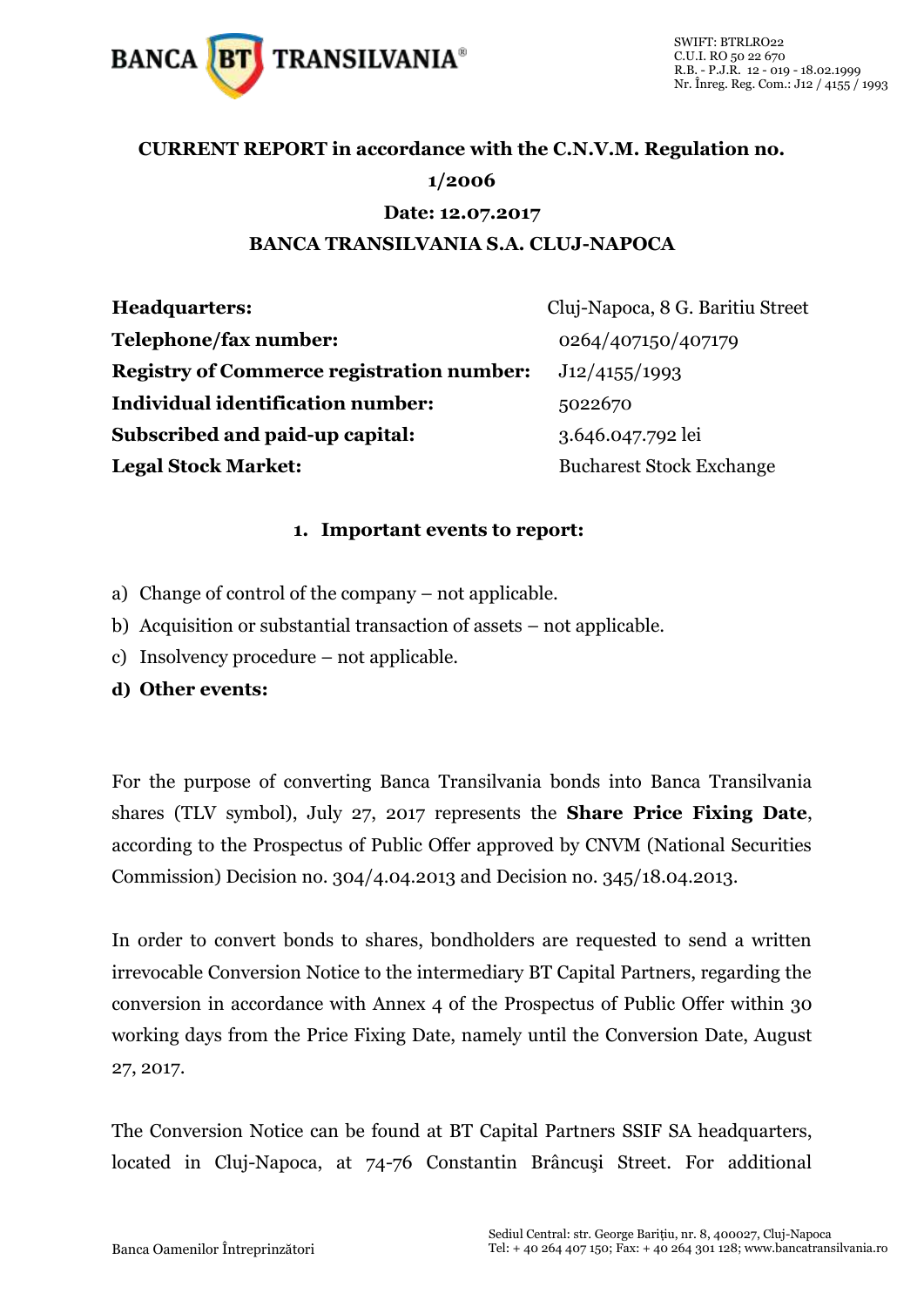

### **CURRENT REPORT in accordance with the C.N.V.M. Regulation no.**

### **1/2006**

#### **Date: 12.07.2017**

#### **BANCA TRANSILVANIA S.A. CLUJ-NAPOCA**

**Headquarters:** Cluj-Napoca, 8 G. Baritiu Street **Telephone/fax number:** 0264/407150/407179 **Registry of Commerce registration number:** J12/4155/1993 **Individual identification number:** 5022670 **Subscribed and paid-up capital:** 3.646.047.792 lei **Legal Stock Market:** Bucharest Stock Exchange

#### **1. Important events to report:**

- a) Change of control of the company not applicable.
- b) Acquisition or substantial transaction of assets not applicable.
- c) Insolvency procedure not applicable.
- **d) Other events:**

For the purpose of converting Banca Transilvania bonds into Banca Transilvania shares (TLV symbol), July 27, 2017 represents the **Share Price Fixing Date**, according to the Prospectus of Public Offer approved by CNVM (National Securities Commission) Decision no. 304/4.04.2013 and Decision no. 345/18.04.2013.

In order to convert bonds to shares, bondholders are requested to send a written irrevocable Conversion Notice to the intermediary BT Capital Partners, regarding the conversion in accordance with Annex 4 of the Prospectus of Public Offer within 30 working days from the Price Fixing Date, namely until the Conversion Date, August 27, 2017.

The Conversion Notice can be found at BT Capital Partners SSIF SA headquarters, located in Cluj-Napoca, at 74-76 Constantin Brâncuşi Street. For additional